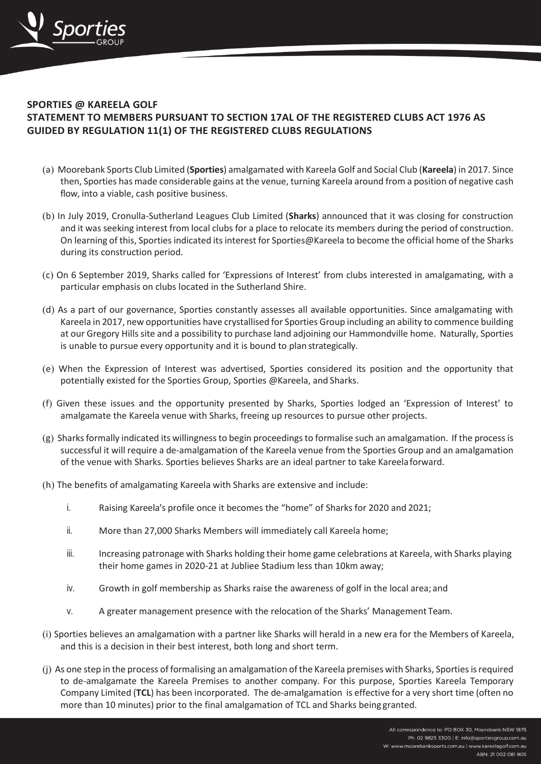

## **SPORTIES @ KAREELA GOLF STATEMENT TO MEMBERS PURSUANT TO SECTION 17AL OF THE REGISTERED CLUBS ACT 1976 AS GUIDED BY REGULATION 11(1) OF THE REGISTERED CLUBS REGULATIONS**

- (a) Moorebank Sports Club Limited (**Sporties**) amalgamated with Kareela Golf and Social Club (**Kareela**) in 2017. Since then, Sporties has made considerable gains at the venue, turning Kareela around from a position of negative cash flow, into a viable, cash positive business.
- (b) In July 2019, Cronulla-Sutherland Leagues Club Limited (**Sharks**) announced that it was closing for construction and it was seeking interest from local clubs for a place to relocate its members during the period of construction. On learning of this, Sportiesindicated itsinterest for Sporties@Kareela to become the official home of the Sharks during its construction period.
- (c) On 6 September 2019, Sharks called for 'Expressions of Interest' from clubs interested in amalgamating, with a particular emphasis on clubs located in the Sutherland Shire.
- (d) As a part of our governance, Sporties constantly assesses all available opportunities. Since amalgamating with Kareela in 2017, new opportunities have crystallised for Sporties Group including an ability to commence building at our Gregory Hillssite and a possibility to purchase land adjoining our Hammondville home. Naturally, Sporties is unable to pursue every opportunity and it is bound to plan strategically.
- (e) When the Expression of Interest was advertised, Sporties considered its position and the opportunity that potentially existed for the Sporties Group, Sporties @Kareela, and Sharks.
- (f) Given these issues and the opportunity presented by Sharks, Sporties lodged an 'Expression of Interest' to amalgamate the Kareela venue with Sharks, freeing up resources to pursue other projects.
- (g) Sharks formally indicated its willingness to begin proceedings to formalise such an amalgamation. If the process is successful it will require a de-amalgamation of the Kareela venue from the Sporties Group and an amalgamation of the venue with Sharks. Sporties believes Sharks are an ideal partner to take Kareelaforward.
- (h) The benefits of amalgamating Kareela with Sharks are extensive and include:
	- i. Raising Kareela's profile once it becomes the "home" of Sharks for 2020 and 2021;
	- ii. More than 27,000 Sharks Members will immediately call Kareela home;
	- iii. Increasing patronage with Sharks holding their home game celebrations at Kareela, with Sharks playing their home games in 2020-21 at Jubliee Stadium less than 10km away;
	- iv. Growth in golf membership as Sharks raise the awareness of golf in the local area; and
	- v. A greater management presence with the relocation of the Sharks' Management Team.
- (i) Sporties believes an amalgamation with a partner like Sharks will herald in a new era for the Members of Kareela, and this is a decision in their best interest, both long and short term.
- (j) As one step in the process of formalising an amalgamation of the Kareela premises with Sharks, Sportiesisrequired to de-amalgamate the Kareela Premises to another company. For this purpose, Sporties Kareela Temporary Company Limited (**TCL**) has been incorporated. The de-amalgamation is effective for a very short time (often no more than 10 minutes) prior to the final amalgamation of TCL and Sharks being granted.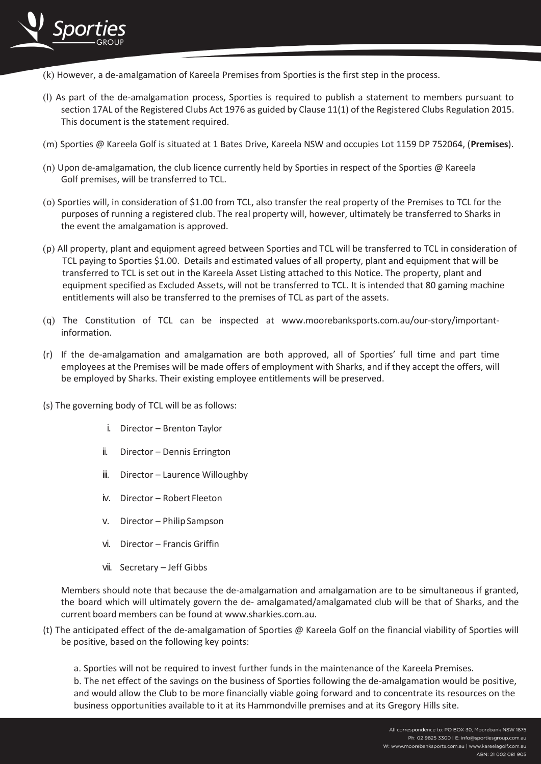

- (k) However, a de-amalgamation of Kareela Premises from Sporties is the first step in the process.
- (l) As part of the de-amalgamation process, Sporties is required to publish a statement to members pursuant to section 17AL of the Registered Clubs Act 1976 as guided by Clause 11(1) of the Registered Clubs Regulation 2015. This document is the statement required.
- (m) Sporties @ Kareela Golf is situated at 1 Bates Drive, Kareela NSW and occupies Lot 1159 DP 752064, (**Premises**).
- (n) Upon de-amalgamation, the club licence currently held by Sporties in respect of the Sporties @ Kareela Golf premises, will be transferred to TCL.
- (o) Sporties will, in consideration of \$1.00 from TCL, also transfer the real property of the Premises to TCL for the purposes of running a registered club. The real property will, however, ultimately be transferred to Sharks in the event the amalgamation is approved.
- (p) All property, plant and equipment agreed between Sporties and TCL will be transferred to TCL in consideration of TCL paying to Sporties \$1.00. Details and estimated values of all property, plant and equipment that will be transferred to TCL is set out in the Kareela Asset Listing attached to this Notice. The property, plant and equipment specified as Excluded Assets, will not be transferred to TCL. It is intended that 80 gaming machine entitlements will also be transferred to the premises of TCL as part of the assets.
- (q) The Constitution of TCL can be inspected at www.moorebanksports.com.au/our-story/importantinformation.
- (r) If the de-amalgamation and amalgamation are both approved, all of Sporties' full time and part time employees at the Premises will be made offers of employment with Sharks, and if they accept the offers, will be employed by Sharks. Their existing employee entitlements will be preserved.
- (s) The governing body of TCL will be as follows:
	- i. Director Brenton Taylor
	- ii. Director Dennis Errington
	- iii. Director Laurence Willoughby
	- iv. Director Robert Fleeton
	- v. Director Philip Sampson
	- vi. Director Francis Griffin
	- vii. Secretary Jeff Gibbs

Members should note that because the de-amalgamation and amalgamation are to be simultaneous if granted, the board which will ultimately govern the de- amalgamated/amalgamated club will be that of Sharks, and the current board members can be found at [www.sharkies.com.au.](http://www.sharkies.com.au/)

- (t) The anticipated effect of the de-amalgamation of Sporties @ Kareela Golf on the financial viability of Sporties will be positive, based on the following key points:
	- a. Sporties will not be required to invest further funds in the maintenance of the Kareela Premises.

b The net effect of the savings on the business of Sporties following the de-amalgamation would be positive, and would allow the Club to be more financially viable going forward and to concentrate its resources on the business opportunities available to it at its Hammondville premises and at its Gregory Hills site.